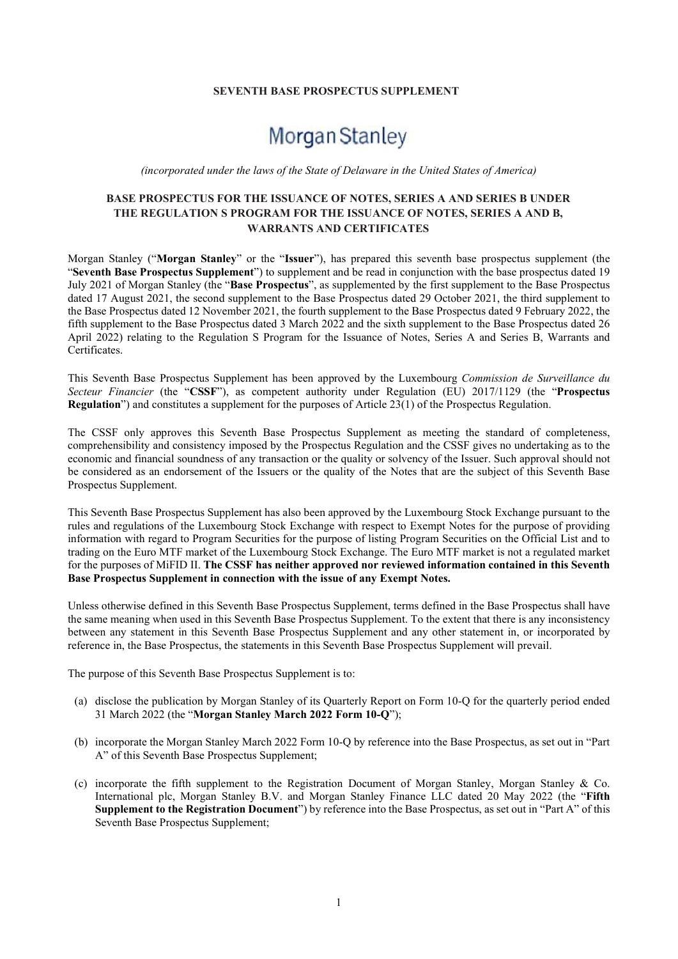#### SEVENTH BASE PROSPECTUS SUPPLEMENT

# Morgan Stanley

(incorporated under the laws of the State of Delaware in the United States of America)

# BASE PROSPECTUS FOR THE ISSUANCE OF NOTES, SERIES A AND SERIES B UNDER THE REGULATION S PROGRAM FOR THE ISSUANCE OF NOTES, SERIES A AND B, WARRANTS AND CERTIFICATES

Morgan Stanley ("Morgan Stanley" or the "Issuer"), has prepared this seventh base prospectus supplement (the "Seventh Base Prospectus Supplement") to supplement and be read in conjunction with the base prospectus dated 19 July 2021 of Morgan Stanley (the "Base Prospectus", as supplemented by the first supplement to the Base Prospectus dated 17 August 2021, the second supplement to the Base Prospectus dated 29 October 2021, the third supplement to the Base Prospectus dated 12 November 2021, the fourth supplement to the Base Prospectus dated 9 February 2022, the fifth supplement to the Base Prospectus dated 3 March 2022 and the sixth supplement to the Base Prospectus dated 26 April 2022) relating to the Regulation S Program for the Issuance of Notes, Series A and Series B, Warrants and Certificates.

This Seventh Base Prospectus Supplement has been approved by the Luxembourg Commission de Surveillance du Secteur Financier (the "CSSF"), as competent authority under Regulation (EU) 2017/1129 (the "Prospectus Regulation") and constitutes a supplement for the purposes of Article 23(1) of the Prospectus Regulation.

The CSSF only approves this Seventh Base Prospectus Supplement as meeting the standard of completeness, comprehensibility and consistency imposed by the Prospectus Regulation and the CSSF gives no undertaking as to the economic and financial soundness of any transaction or the quality or solvency of the Issuer. Such approval should not be considered as an endorsement of the Issuers or the quality of the Notes that are the subject of this Seventh Base Prospectus Supplement.

This Seventh Base Prospectus Supplement has also been approved by the Luxembourg Stock Exchange pursuant to the rules and regulations of the Luxembourg Stock Exchange with respect to Exempt Notes for the purpose of providing information with regard to Program Securities for the purpose of listing Program Securities on the Official List and to trading on the Euro MTF market of the Luxembourg Stock Exchange. The Euro MTF market is not a regulated market for the purposes of MiFID II. The CSSF has neither approved nor reviewed information contained in this Seventh Base Prospectus Supplement in connection with the issue of any Exempt Notes.

Unless otherwise defined in this Seventh Base Prospectus Supplement, terms defined in the Base Prospectus shall have the same meaning when used in this Seventh Base Prospectus Supplement. To the extent that there is any inconsistency between any statement in this Seventh Base Prospectus Supplement and any other statement in, or incorporated by reference in, the Base Prospectus, the statements in this Seventh Base Prospectus Supplement will prevail.

The purpose of this Seventh Base Prospectus Supplement is to:

- (a) disclose the publication by Morgan Stanley of its Quarterly Report on Form 10-Q for the quarterly period ended 31 March 2022 (the "Morgan Stanley March 2022 Form 10-Q");
- (b) incorporate the Morgan Stanley March 2022 Form 10-Q by reference into the Base Prospectus, as set out in "Part A" of this Seventh Base Prospectus Supplement;
- (c) incorporate the fifth supplement to the Registration Document of Morgan Stanley, Morgan Stanley & Co. International plc, Morgan Stanley B.V. and Morgan Stanley Finance LLC dated 20 May 2022 (the "Fifth Supplement to the Registration Document") by reference into the Base Prospectus, as set out in "Part A" of this Seventh Base Prospectus Supplement;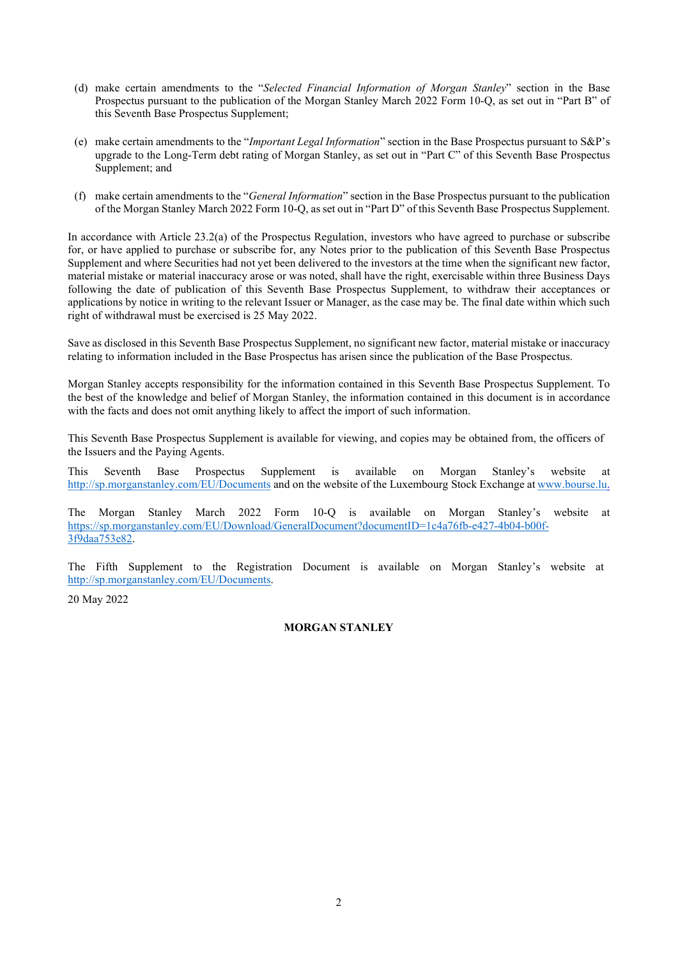- (d) make certain amendments to the "Selected Financial Information of Morgan Stanley" section in the Base Prospectus pursuant to the publication of the Morgan Stanley March 2022 Form 10-Q, as set out in "Part B" of this Seventh Base Prospectus Supplement;
- (e) make certain amendments to the "Important Legal Information" section in the Base Prospectus pursuant to S&P's upgrade to the Long-Term debt rating of Morgan Stanley, as set out in "Part C" of this Seventh Base Prospectus Supplement; and
- (f) make certain amendments to the "General Information" section in the Base Prospectus pursuant to the publication of the Morgan Stanley March 2022 Form 10-Q, as set out in "Part D" of this Seventh Base Prospectus Supplement.

In accordance with Article 23.2(a) of the Prospectus Regulation, investors who have agreed to purchase or subscribe for, or have applied to purchase or subscribe for, any Notes prior to the publication of this Seventh Base Prospectus Supplement and where Securities had not yet been delivered to the investors at the time when the significant new factor, material mistake or material inaccuracy arose or was noted, shall have the right, exercisable within three Business Days following the date of publication of this Seventh Base Prospectus Supplement, to withdraw their acceptances or applications by notice in writing to the relevant Issuer or Manager, as the case may be. The final date within which such right of withdrawal must be exercised is 25 May 2022.

Save as disclosed in this Seventh Base Prospectus Supplement, no significant new factor, material mistake or inaccuracy relating to information included in the Base Prospectus has arisen since the publication of the Base Prospectus.

Morgan Stanley accepts responsibility for the information contained in this Seventh Base Prospectus Supplement. To the best of the knowledge and belief of Morgan Stanley, the information contained in this document is in accordance with the facts and does not omit anything likely to affect the import of such information.

This Seventh Base Prospectus Supplement is available for viewing, and copies may be obtained from, the officers of the Issuers and the Paying Agents.

This Seventh Base Prospectus Supplement is available on Morgan Stanley's website at http://sp.morganstanley.com/EU/Documents and on the website of the Luxembourg Stock Exchange at www.bourse.lu.

The Morgan Stanley March 2022 Form 10-Q is available on Morgan Stanley's website at https://sp.morganstanley.com/EU/Download/GeneralDocument?documentID=1c4a76fb-e427-4b04-b00f-3f9daa753e82.

The Fifth Supplement to the Registration Document is available on Morgan Stanley's website at http://sp.morganstanley.com/EU/Documents.

20 May 2022

### MORGAN STANLEY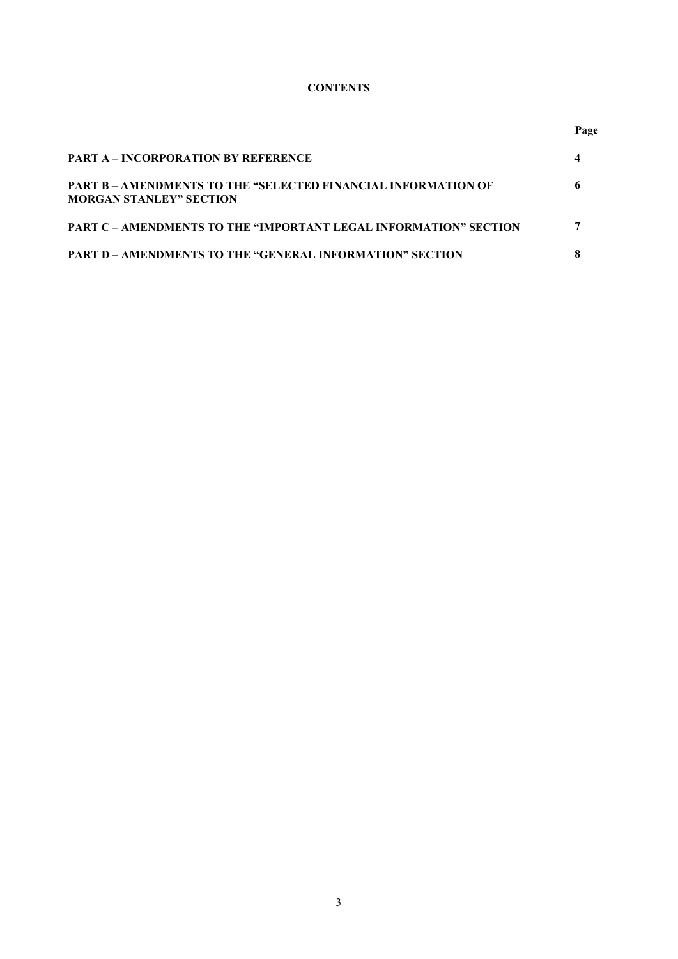# **CONTENTS**

**Page** 

| <b>PART A – INCORPORATION BY REFERENCE</b>                                                             |  |
|--------------------------------------------------------------------------------------------------------|--|
| <b>PART B – AMENDMENTS TO THE "SELECTED FINANCIAL INFORMATION OF</b><br><b>MORGAN STANLEY" SECTION</b> |  |
| <b>PART C – AMENDMENTS TO THE "IMPORTANT LEGAL INFORMATION" SECTION</b>                                |  |
| <b>PART D – AMENDMENTS TO THE "GENERAL INFORMATION" SECTION</b>                                        |  |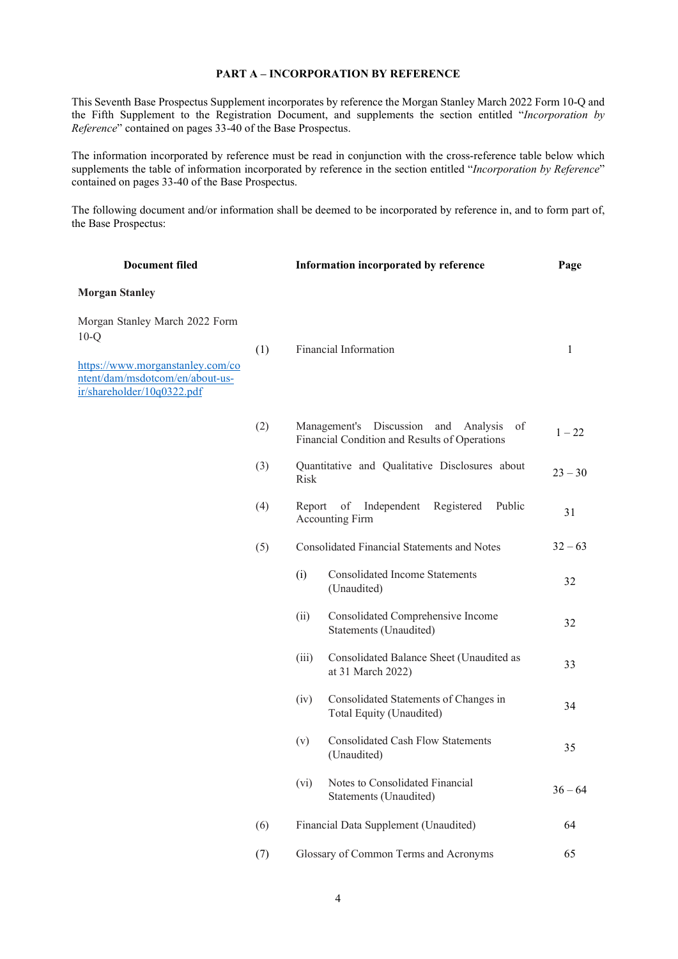#### PART A – INCORPORATION BY REFERENCE

This Seventh Base Prospectus Supplement incorporates by reference the Morgan Stanley March 2022 Form 10-Q and the Fifth Supplement to the Registration Document, and supplements the section entitled "Incorporation by Reference" contained on pages 33-40 of the Base Prospectus.

The information incorporated by reference must be read in conjunction with the cross-reference table below which supplements the table of information incorporated by reference in the section entitled "Incorporation by Reference" contained on pages 33-40 of the Base Prospectus.

The following document and/or information shall be deemed to be incorporated by reference in, and to form part of, the Base Prospectus:

| <b>Document filed</b>                                                                                                                         |     |         | Information incorporated by reference                                                             | Page         |
|-----------------------------------------------------------------------------------------------------------------------------------------------|-----|---------|---------------------------------------------------------------------------------------------------|--------------|
| <b>Morgan Stanley</b>                                                                                                                         |     |         |                                                                                                   |              |
| Morgan Stanley March 2022 Form<br>$10-Q$<br>https://www.morganstanley.com/co<br>ntent/dam/msdotcom/en/about-us-<br>ir/shareholder/10q0322.pdf | (1) |         | Financial Information                                                                             | $\mathbf{1}$ |
|                                                                                                                                               | (2) |         | Management's Discussion<br>of<br>and<br>Analysis<br>Financial Condition and Results of Operations | $1 - 22$     |
|                                                                                                                                               | (3) | Risk    | Quantitative and Qualitative Disclosures about                                                    | $23 - 30$    |
|                                                                                                                                               | (4) | Report  | of<br>Independent<br>Registered<br>Public<br><b>Accounting Firm</b>                               | 31           |
|                                                                                                                                               | (5) |         | Consolidated Financial Statements and Notes                                                       | $32 - 63$    |
|                                                                                                                                               |     | (i)     | <b>Consolidated Income Statements</b><br>(Unaudited)                                              | 32           |
|                                                                                                                                               |     | (ii)    | Consolidated Comprehensive Income<br>Statements (Unaudited)                                       | 32           |
|                                                                                                                                               |     | (iii)   | Consolidated Balance Sheet (Unaudited as<br>at 31 March 2022)                                     | 33           |
|                                                                                                                                               |     | (iv)    | Consolidated Statements of Changes in<br>Total Equity (Unaudited)                                 | 34           |
|                                                                                                                                               |     | (v)     | <b>Consolidated Cash Flow Statements</b><br>(Unaudited)                                           | 35           |
|                                                                                                                                               |     | $(v_i)$ | Notes to Consolidated Financial<br>Statements (Unaudited)                                         | $36 - 64$    |
|                                                                                                                                               | (6) |         | Financial Data Supplement (Unaudited)                                                             | 64           |
|                                                                                                                                               | (7) |         | Glossary of Common Terms and Acronyms                                                             | 65           |
|                                                                                                                                               |     |         |                                                                                                   |              |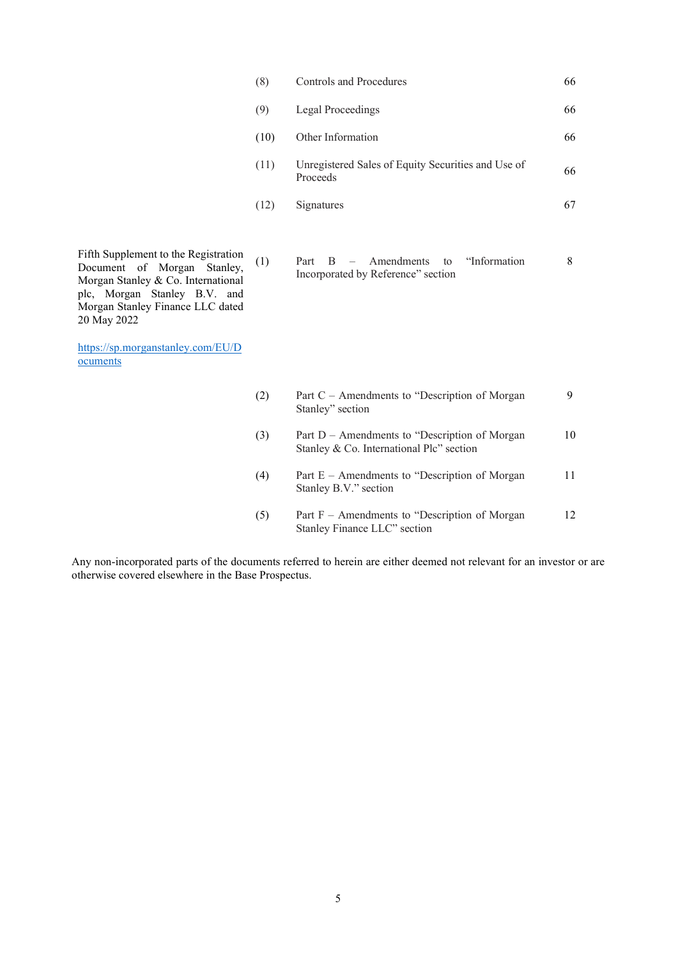| (8)  | Controls and Procedures                                        | 66 |
|------|----------------------------------------------------------------|----|
| (9)  | Legal Proceedings                                              | 66 |
| (10) | Other Information                                              | 66 |
| (11) | Unregistered Sales of Equity Securities and Use of<br>Proceeds | 66 |
| (12) | Signatures                                                     | 67 |

Fifth Supplement to the Registration Document of Morgan Stanley, Morgan Stanley & Co. International plc, Morgan Stanley B.V. and Morgan Stanley Finance LLC dated 20 May 2022

https://sp.morganstanley.com/EU/D ocuments

| (1) |  | $Part B - A$ mendments to "Information" |  |  |
|-----|--|-----------------------------------------|--|--|
|     |  | Incorporated by Reference" section      |  |  |

| (2) | Part C – Amendments to "Description of Morgan<br>Stanley" section                          | Q   |
|-----|--------------------------------------------------------------------------------------------|-----|
| (3) | Part D – Amendments to "Description of Morgan"<br>Stanley & Co. International Plc" section | 10  |
| (4) | Part E – Amendments to "Description of Morgan<br>Stanley B.V." section                     | 11  |
| (5) | Part $F -$ Amendments to "Description of Morgan"<br>Stanley Finance LLC" section           | 12. |

Any non-incorporated parts of the documents referred to herein are either deemed not relevant for an investor or are otherwise covered elsewhere in the Base Prospectus.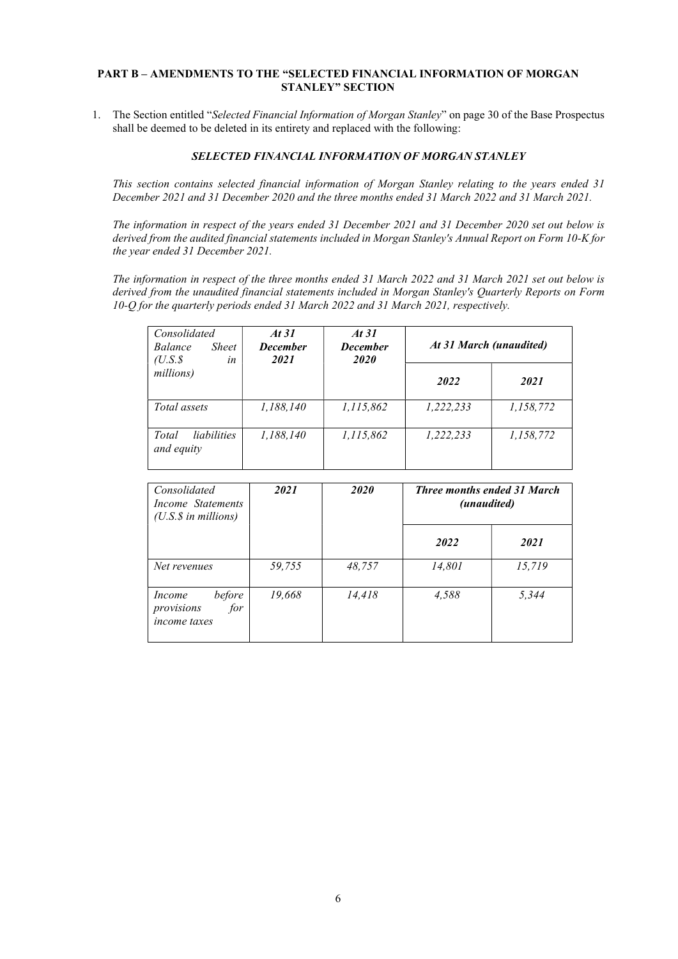#### PART B – AMENDMENTS TO THE "SELECTED FINANCIAL INFORMATION OF MORGAN STANLEY" SECTION

1. The Section entitled "Selected Financial Information of Morgan Stanley" on page 30 of the Base Prospectus shall be deemed to be deleted in its entirety and replaced with the following:

## SELECTED FINANCIAL INFORMATION OF MORGAN STANLEY

This section contains selected financial information of Morgan Stanley relating to the years ended 31 December 2021 and 31 December 2020 and the three months ended 31 March 2022 and 31 March 2021.

The information in respect of the years ended 31 December 2021 and 31 December 2020 set out below is derived from the audited financial statements included in Morgan Stanley's Annual Report on Form 10-K for the year ended 31 December 2021.

The information in respect of the three months ended 31 March 2022 and 31 March 2021 set out below is derived from the unaudited financial statements included in Morgan Stanley's Quarterly Reports on Form 10-Q for the quarterly periods ended 31 March 2022 and 31 March 2021, respectively.

| Consolidated<br><b>Sheet</b><br>Balance<br>$(U.S.\$<br>in | At $31$<br><b>December</b><br>2021 | At 31<br><b>December</b><br>2020 | At 31 March (unaudited) |           |
|-----------------------------------------------------------|------------------------------------|----------------------------------|-------------------------|-----------|
| millions)                                                 |                                    |                                  | 2022                    | 2021      |
| Total assets                                              | 1,188,140                          | 1,115,862                        | 1,222,233               | 1,158,772 |
| <i>liabilities</i><br>Total<br>and equity                 | 1,188,140                          | 1,115,862                        | 1,222,233               | 1,158,772 |

| Consolidated<br>Income Statements<br>$(U.S.\$ \$ in millions) | 2021   | 2020   | <b>Three months ended 31 March</b><br>(unaudited) |        |
|---------------------------------------------------------------|--------|--------|---------------------------------------------------|--------|
|                                                               |        |        | 2022                                              | 2021   |
| Net revenues                                                  | 59,755 | 48,757 | 14,801                                            | 15,719 |
| before<br>Income<br>for<br>provisions<br><i>income taxes</i>  | 19,668 | 14,418 | 4.588                                             | 5,344  |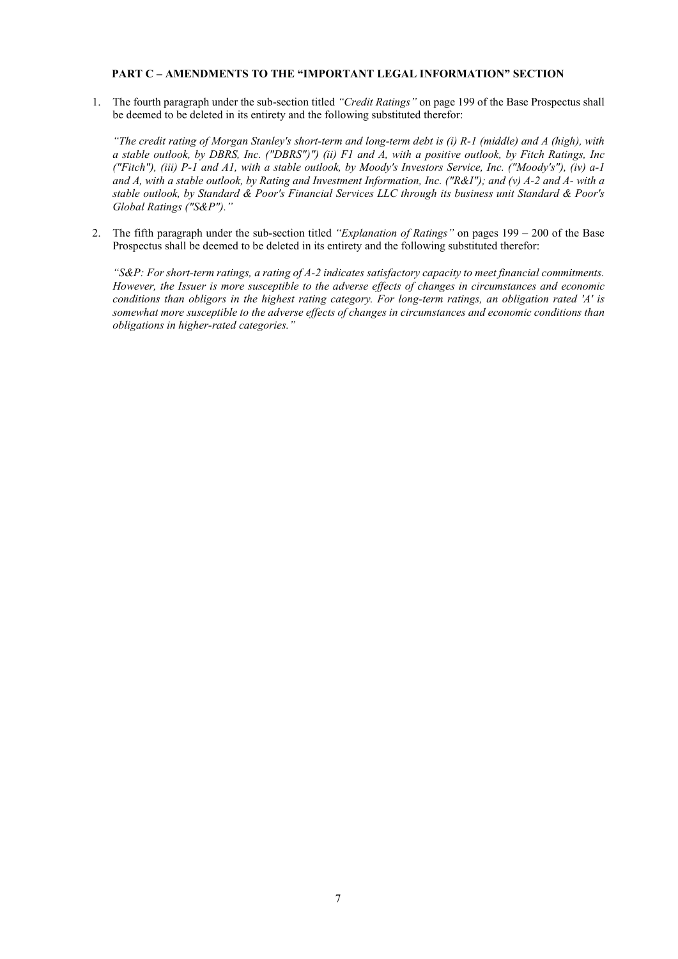#### PART C – AMENDMENTS TO THE "IMPORTANT LEGAL INFORMATION" SECTION

1. The fourth paragraph under the sub-section titled "Credit Ratings" on page 199 of the Base Prospectus shall be deemed to be deleted in its entirety and the following substituted therefor:

"The credit rating of Morgan Stanley's short-term and long-term debt is (i) R-1 (middle) and A (high), with a stable outlook, by DBRS, Inc. ("DBRS")") (ii) F1 and A, with a positive outlook, by Fitch Ratings, Inc ("Fitch"), (iii) P-1 and A1, with a stable outlook, by Moody's Investors Service, Inc. ("Moody's"), (iv) a-1 and A, with a stable outlook, by Rating and Investment Information, Inc. ("R&I"); and (v) A-2 and A- with a stable outlook, by Standard & Poor's Financial Services LLC through its business unit Standard & Poor's Global Ratings ("S&P")."

2. The fifth paragraph under the sub-section titled "Explanation of Ratings" on pages  $199 - 200$  of the Base Prospectus shall be deemed to be deleted in its entirety and the following substituted therefor:

"S&P: For short-term ratings, a rating of A-2 indicates satisfactory capacity to meet financial commitments. However, the Issuer is more susceptible to the adverse effects of changes in circumstances and economic conditions than obligors in the highest rating category. For long-term ratings, an obligation rated 'A' is somewhat more susceptible to the adverse effects of changes in circumstances and economic conditions than obligations in higher-rated categories."